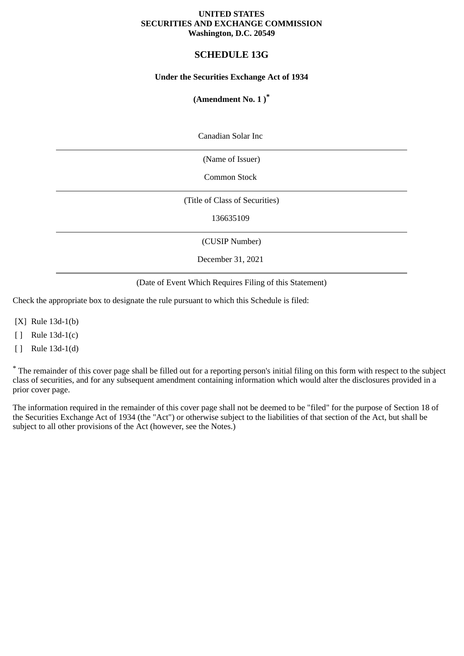## **UNITED STATES SECURITIES AND EXCHANGE COMMISSION Washington, D.C. 20549**

# **SCHEDULE 13G**

## **Under the Securities Exchange Act of 1934**

# **(Amendment No. 1 )\***

Canadian Solar Inc

(Name of Issuer)

Common Stock

(Title of Class of Securities)

136635109

(CUSIP Number)

December 31, 2021

(Date of Event Which Requires Filing of this Statement)

Check the appropriate box to designate the rule pursuant to which this Schedule is filed:

[X] Rule 13d-1(b)

[ ] Rule 13d-1(c)

[ ] Rule 13d-1(d)

\* The remainder of this cover page shall be filled out for a reporting person's initial filing on this form with respect to the subject class of securities, and for any subsequent amendment containing information which would alter the disclosures provided in a prior cover page.

The information required in the remainder of this cover page shall not be deemed to be "filed" for the purpose of Section 18 of the Securities Exchange Act of 1934 (the "Act") or otherwise subject to the liabilities of that section of the Act, but shall be subject to all other provisions of the Act (however, see the Notes.)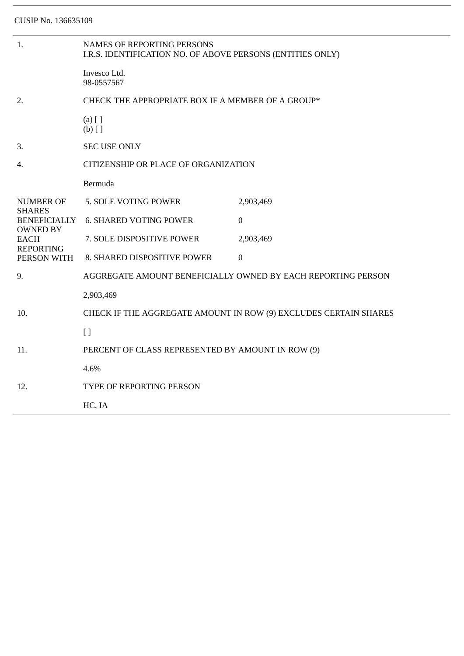| 1.                                                                | <b>NAMES OF REPORTING PERSONS</b><br>I.R.S. IDENTIFICATION NO. OF ABOVE PERSONS (ENTITIES ONLY) |                  |  |
|-------------------------------------------------------------------|-------------------------------------------------------------------------------------------------|------------------|--|
|                                                                   | Invesco Ltd.<br>98-0557567                                                                      |                  |  |
| 2.                                                                | CHECK THE APPROPRIATE BOX IF A MEMBER OF A GROUP*                                               |                  |  |
|                                                                   | $(a)$ [ ]<br>$(b)$ []                                                                           |                  |  |
| 3.                                                                | <b>SEC USE ONLY</b>                                                                             |                  |  |
| 4.                                                                | CITIZENSHIP OR PLACE OF ORGANIZATION                                                            |                  |  |
|                                                                   | Bermuda                                                                                         |                  |  |
| <b>NUMBER OF</b>                                                  | 5. SOLE VOTING POWER                                                                            | 2,903,469        |  |
| <b>SHARES</b><br><b>BENEFICIALLY</b>                              | <b>6. SHARED VOTING POWER</b>                                                                   | $\overline{0}$   |  |
| <b>OWNED BY</b><br><b>EACH</b><br><b>REPORTING</b><br>PERSON WITH | 7. SOLE DISPOSITIVE POWER                                                                       | 2,903,469        |  |
|                                                                   | 8. SHARED DISPOSITIVE POWER                                                                     | $\boldsymbol{0}$ |  |
| 9.                                                                | AGGREGATE AMOUNT BENEFICIALLY OWNED BY EACH REPORTING PERSON                                    |                  |  |
|                                                                   | 2,903,469                                                                                       |                  |  |
| 10.                                                               | CHECK IF THE AGGREGATE AMOUNT IN ROW (9) EXCLUDES CERTAIN SHARES                                |                  |  |
|                                                                   | $\lceil$                                                                                        |                  |  |
| 11.                                                               | PERCENT OF CLASS REPRESENTED BY AMOUNT IN ROW (9)                                               |                  |  |
|                                                                   | 4.6%                                                                                            |                  |  |
| 12.                                                               | TYPE OF REPORTING PERSON                                                                        |                  |  |
|                                                                   | HC, IA                                                                                          |                  |  |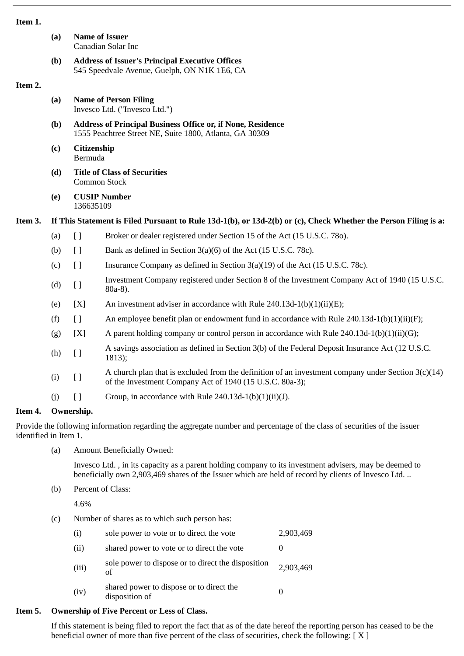### **Item 1.**

|         | (a) |                                                                                                                               | <b>Name of Issuer</b><br>Canadian Solar Inc                                                                                                                      |  |  |
|---------|-----|-------------------------------------------------------------------------------------------------------------------------------|------------------------------------------------------------------------------------------------------------------------------------------------------------------|--|--|
|         | (b) | <b>Address of Issuer's Principal Executive Offices</b><br>545 Speedvale Avenue, Guelph, ON N1K 1E6, CA                        |                                                                                                                                                                  |  |  |
| Item 2. |     |                                                                                                                               |                                                                                                                                                                  |  |  |
|         | (a) | <b>Name of Person Filing</b><br>Invesco Ltd. ("Invesco Ltd.")                                                                 |                                                                                                                                                                  |  |  |
|         | (b) | <b>Address of Principal Business Office or, if None, Residence</b><br>1555 Peachtree Street NE, Suite 1800, Atlanta, GA 30309 |                                                                                                                                                                  |  |  |
|         | (c) | Citizenship<br>Bermuda                                                                                                        |                                                                                                                                                                  |  |  |
|         | (d) | <b>Title of Class of Securities</b><br><b>Common Stock</b>                                                                    |                                                                                                                                                                  |  |  |
|         | (e) | 136635109                                                                                                                     | <b>CUSIP Number</b>                                                                                                                                              |  |  |
| Item 3. |     | If This Statement is Filed Pursuant to Rule 13d-1(b), or 13d-2(b) or (c), Check Whether the Person Filing is a:               |                                                                                                                                                                  |  |  |
|         | (a) | $[ \ ]$                                                                                                                       | Broker or dealer registered under Section 15 of the Act (15 U.S.C. 780).                                                                                         |  |  |
|         | (b) | $[ \ ]$                                                                                                                       | Bank as defined in Section 3(a)(6) of the Act (15 U.S.C. 78c).                                                                                                   |  |  |
|         | (c) | $\begin{array}{c} \square \end{array}$                                                                                        | Insurance Company as defined in Section 3(a)(19) of the Act (15 U.S.C. 78c).                                                                                     |  |  |
|         | (d) | $\left[\right]$                                                                                                               | Investment Company registered under Section 8 of the Investment Company Act of 1940 (15 U.S.C.<br>$80a-8$ ).                                                     |  |  |
|         | (e) | [X]                                                                                                                           | An investment adviser in accordance with Rule 240.13d-1(b)(1)(ii)(E);                                                                                            |  |  |
|         | (f) | $\Box$                                                                                                                        | An employee benefit plan or endowment fund in accordance with Rule $240.13d-1(b)(1)(ii)(F)$ ;                                                                    |  |  |
|         | (g) | [X]                                                                                                                           | A parent holding company or control person in accordance with Rule $240.13d-1(b)(1)(ii)(G);$                                                                     |  |  |
|         | (h) | $\left[\right]$                                                                                                               | A savings association as defined in Section 3(b) of the Federal Deposit Insurance Act (12 U.S.C.<br>1813);                                                       |  |  |
|         | (i) | $\lceil$                                                                                                                      | A church plan that is excluded from the definition of an investment company under Section $3(c)(14)$<br>of the Investment Company Act of 1940 (15 U.S.C. 80a-3); |  |  |
|         | (i) | $\lceil$                                                                                                                      | Group, in accordance with Rule 240.13d-1(b)(1)(ii)(J).                                                                                                           |  |  |
| Item 4. |     | Ownership.                                                                                                                    |                                                                                                                                                                  |  |  |

Provide the following information regarding the aggregate number and percentage of the class of securities of the issuer identified in Item 1.

(a) Amount Beneficially Owned:

Invesco Ltd. , in its capacity as a parent holding company to its investment advisers, may be deemed to beneficially own 2,903,469 shares of the Issuer which are held of record by clients of Invesco Ltd. ..

(b) Percent of Class:

4.6%

(c) Number of shares as to which such person has:

| (i)   | sole power to vote or to direct the vote                   | 2,903,469 |
|-------|------------------------------------------------------------|-----------|
| (ii)  | shared power to vote or to direct the vote                 |           |
| (iii) | sole power to dispose or to direct the disposition<br>of   | 2,903,469 |
| (iv)  | shared power to dispose or to direct the<br>disposition of |           |

# **Item 5. Ownership of Five Percent or Less of Class.**

If this statement is being filed to report the fact that as of the date hereof the reporting person has ceased to be the beneficial owner of more than five percent of the class of securities, check the following:  $[X]$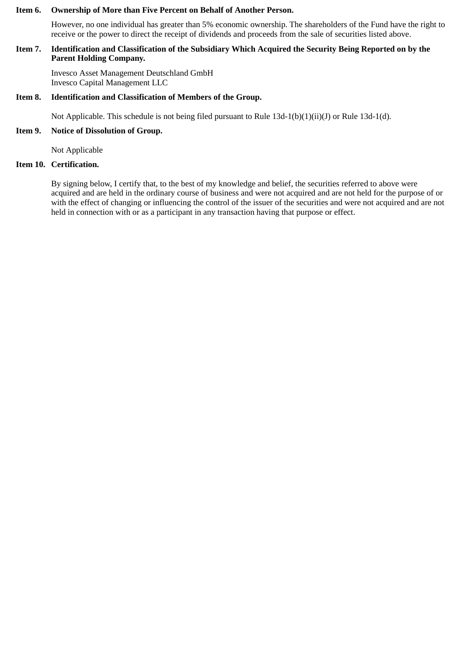#### **Item 6. Ownership of More than Five Percent on Behalf of Another Person.**

However, no one individual has greater than 5% economic ownership. The shareholders of the Fund have the right to receive or the power to direct the receipt of dividends and proceeds from the sale of securities listed above.

## **Item 7. Identification and Classification of the Subsidiary Which Acquired the Security Being Reported on by the Parent Holding Company.**

Invesco Asset Management Deutschland GmbH Invesco Capital Management LLC

## **Item 8. Identification and Classification of Members of the Group.**

Not Applicable. This schedule is not being filed pursuant to Rule 13d-1(b)(1)(ii)(J) or Rule 13d-1(d).

## **Item 9. Notice of Dissolution of Group.**

Not Applicable

## **Item 10. Certification.**

By signing below, I certify that, to the best of my knowledge and belief, the securities referred to above were acquired and are held in the ordinary course of business and were not acquired and are not held for the purpose of or with the effect of changing or influencing the control of the issuer of the securities and were not acquired and are not held in connection with or as a participant in any transaction having that purpose or effect.